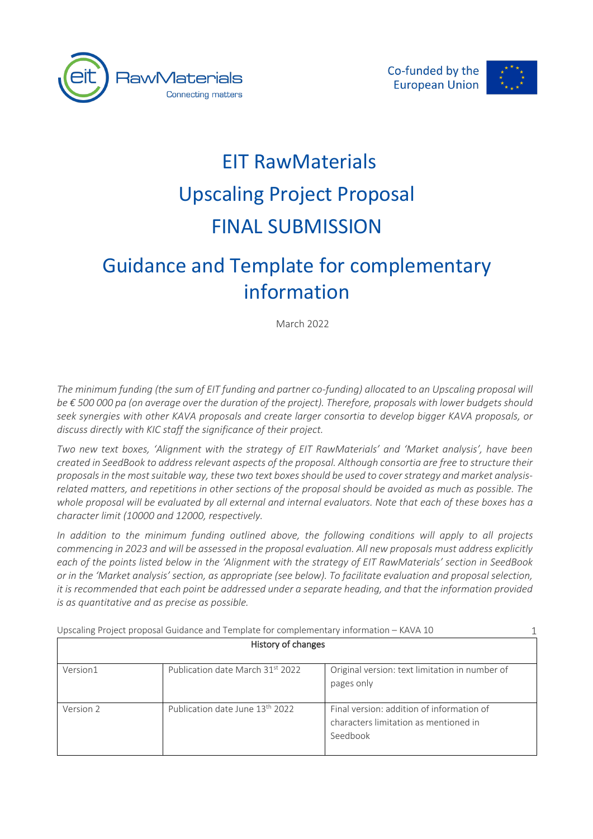



1

# EIT RawMaterials Upscaling Project Proposal FINAL SUBMISSION

# Guidance and Template for complementary information

March 2022

The minimum funding (the sum of EIT funding and partner co-funding) allocated to an Upscaling proposal will *be € 500 000 pa (on average over the duration of the project). Therefore, proposals with lower budgets should seek synergies with other KAVA proposals and create larger consortia to develop bigger KAVA proposals, or discuss directly with KIC staff the significance of their project.* 

*Two new text boxes, 'Alignment with the strategy of EIT RawMaterials' and 'Market analysis', have been created in SeedBook to address relevant aspects of the proposal. Although consortia are free to structure their proposals in the most suitable way, these two text boxes should be used to cover strategy and market analysisrelated matters, and repetitions in other sections of the proposal should be avoided as much as possible. The whole proposal will be evaluated by all external and internal evaluators. Note that each of these boxes has a character limit (10000 and 12000, respectively.* 

*In addition to the minimum funding outlined above, the following conditions will apply to all projects commencing in 2023 and will be assessed in the proposal evaluation. All new proposals must address explicitly each of the points listed below in the 'Alignment with the strategy of EIT RawMaterials' section in SeedBook or in the 'Market analysis' section, as appropriate (see below). To facilitate evaluation and proposal selection, it is recommended that each point be addressed under a separate heading, and that the information provided is as quantitative and as precise as possible.* 

| History of changes |                                             |                                                                                                |
|--------------------|---------------------------------------------|------------------------------------------------------------------------------------------------|
| Version1           | Publication date March 31st 2022            | Original version: text limitation in number of<br>pages only                                   |
| Version 2          | Publication date June 13 <sup>th</sup> 2022 | Final version: addition of information of<br>characters limitation as mentioned in<br>Seedbook |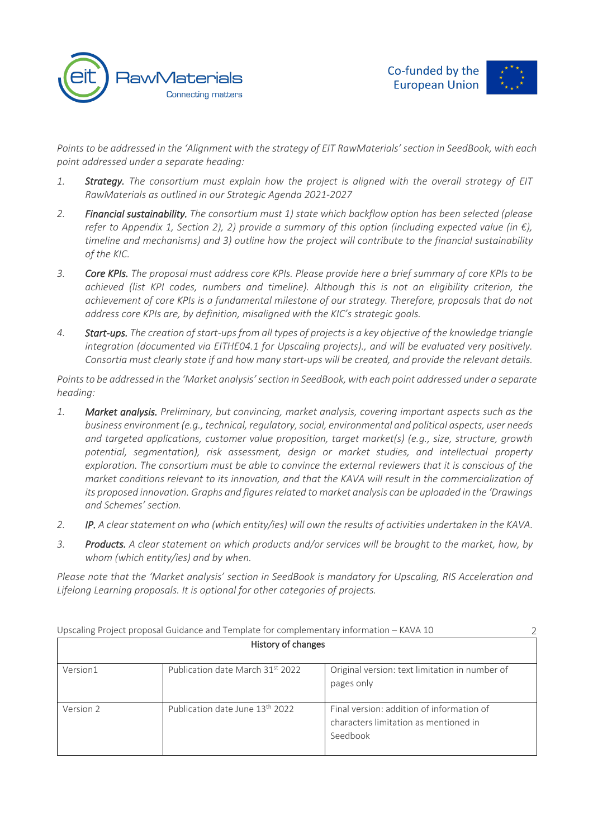



*Points to be addressed in the 'Alignment with the strategy of EIT RawMaterials' section in SeedBook, with each point addressed under a separate heading:*

- *1. Strategy. The consortium must explain how the project is aligned with the overall strategy of EIT RawMaterials as outlined in our Strategic Agenda 2021-2027*
- *2. Financial sustainability. The consortium must 1) state which backflow option has been selected (please refer to Appendix 1, Section 2), 2) provide a summary of this option (including expected value (in €), timeline and mechanisms) and 3) outline how the project will contribute to the financial sustainability of the KIC.*
- *3. Core KPIs. The proposal must address core KPIs. Please provide here a brief summary of core KPIs to be achieved (list KPI codes, numbers and timeline). Although this is not an eligibility criterion, the achievement of core KPIs is a fundamental milestone of our strategy. Therefore, proposals that do not address core KPIs are, by definition, misaligned with the KIC's strategic goals.*
- *4. Start-ups. The creation of start-ups from all types of projects is a key objective of the knowledge triangle integration (documented via EITHE04.1 for Upscaling projects)., and will be evaluated very positively. Consortia must clearly state if and how many start-ups will be created, and provide the relevant details.*

*Points to be addressed in the 'Market analysis' section in SeedBook, with each point addressed under a separate heading:*

- *1. Market analysis. Preliminary, but convincing, market analysis, covering important aspects such as the business environment (e.g., technical, regulatory, social, environmental and political aspects, user needs and targeted applications, customer value proposition, target market(s) (e.g., size, structure, growth potential, segmentation), risk assessment, design or market studies, and intellectual property exploration. The consortium must be able to convince the external reviewers that it is conscious of the market conditions relevant to its innovation, and that the KAVA will result in the commercialization of its proposed innovation. Graphs and figures related to market analysis can be uploaded in the 'Drawings and Schemes' section.*
- *2. IP. A clear statement on who (which entity/ies) will own the results of activities undertaken in the KAVA.*
- *3. Products. A clear statement on which products and/or services will be brought to the market, how, by whom (which entity/ies) and by when.*

*Please note that the 'Market analysis' section in SeedBook is mandatory for Upscaling, RIS Acceleration and Lifelong Learning proposals. It is optional for other categories of projects.*

|           | Upscaling Project proposal Guidance and Template for complementary information - KAVA 10 |                                                                                                |  |
|-----------|------------------------------------------------------------------------------------------|------------------------------------------------------------------------------------------------|--|
|           | History of changes                                                                       |                                                                                                |  |
| Version1  | Publication date March 31st 2022                                                         | Original version: text limitation in number of<br>pages only                                   |  |
| Version 2 | Publication date June 13 <sup>th</sup> 2022                                              | Final version: addition of information of<br>characters limitation as mentioned in<br>Seedbook |  |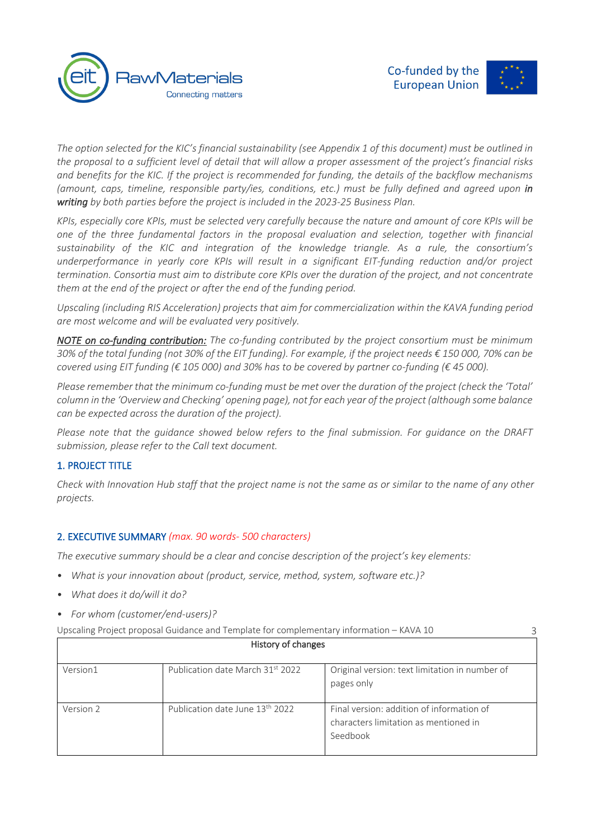

3

*The option selected for the KIC's financial sustainability (see Appendix 1 of this document) must be outlined in the proposal to a sufficient level of detail that will allow a proper assessment of the project's financial risks and benefits for the KIC. If the project is recommended for funding, the details of the backflow mechanisms (amount, caps, timeline, responsible party/ies, conditions, etc.) must be fully defined and agreed upon in writing by both parties before the project is included in the 2023-25 Business Plan.*

*KPIs, especially core KPIs, must be selected very carefully because the nature and amount of core KPIs will be one of the three fundamental factors in the proposal evaluation and selection, together with financial sustainability of the KIC and integration of the knowledge triangle. As a rule, the consortium's underperformance in yearly core KPIs will result in a significant EIT-funding reduction and/or project termination. Consortia must aim to distribute core KPIs over the duration of the project, and not concentrate them at the end of the project or after the end of the funding period.*

*Upscaling (including RIS Acceleration) projects that aim for commercialization within the KAVA funding period are most welcome and will be evaluated very positively.* 

*NOTE on co-funding contribution: The co-funding contributed by the project consortium must be minimum 30% of the total funding (not 30% of the EIT funding). For example, if the project needs € 150 000, 70% can be covered using EIT funding (€ 105 000) and 30% has to be covered by partner co-funding (€ 45 000).* 

*Please remember that the minimum co-funding must be met over the duration of the project (check the 'Total' column in the 'Overview and Checking' opening page), not for each year of the project (although some balance can be expected across the duration of the project).*

*Please note that the guidance showed below refers to the final submission. For guidance on the DRAFT submission, please refer to the Call text document.*

# 1. PROJECT TITLE

*Check with Innovation Hub staff that the project name is not the same as or similar to the name of any other projects.*

# 2. EXECUTIVE SUMMARY *(max. 90 words- 500 characters)*

*The executive summary should be a clear and concise description of the project's key elements:* 

- *What is your innovation about (product, service, method, system, software etc.)?*
- *What does it do/will it do?*
- *For whom (customer/end-users)?*

| History of changes |                                             |                                                                                                |
|--------------------|---------------------------------------------|------------------------------------------------------------------------------------------------|
| Version1           | Publication date March 31st 2022            | Original version: text limitation in number of<br>pages only                                   |
| Version 2          | Publication date June 13 <sup>th</sup> 2022 | Final version: addition of information of<br>characters limitation as mentioned in<br>Seedbook |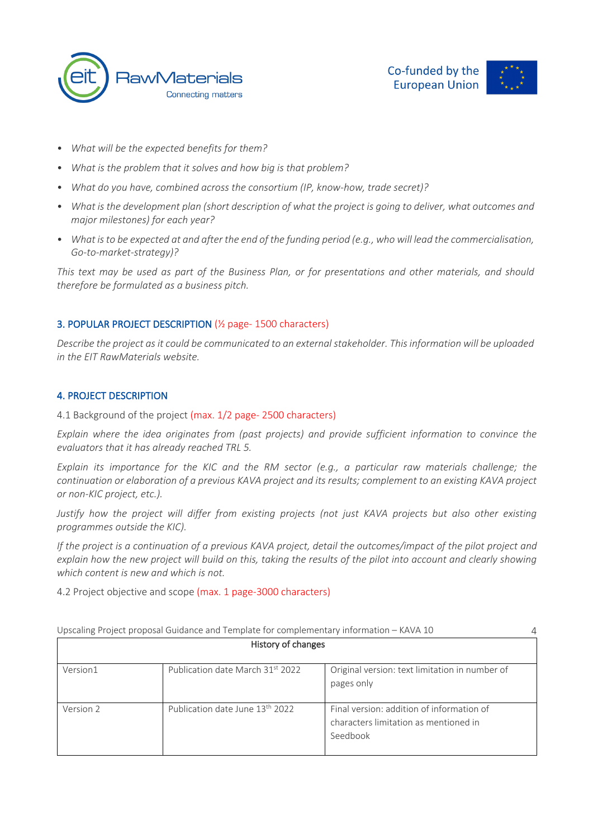



- *What will be the expected benefits for them?*
- *What is the problem that it solves and how big is that problem?*
- *What do you have, combined across the consortium (IP, know-how, trade secret)?*
- *What is the development plan (short description of what the project is going to deliver, what outcomes and major milestones) for each year?*
- *What is to be expected at and after the end of the funding period (e.g., who will lead the commercialisation, Go-to-market-strategy)?*

*This text may be used as part of the Business Plan, or for presentations and other materials, and should therefore be formulated as a business pitch.*

# 3. POPULAR PROJECT DESCRIPTION (½ page- 1500 characters)

*Describe the project as it could be communicated to an external stakeholder. This information will be uploaded in the EIT RawMaterials website.*

#### 4. PROJECT DESCRIPTION

4.1 Background of the project (max. 1/2 page- 2500 characters)

*Explain where the idea originates from (past projects) and provide sufficient information to convince the evaluators that it has already reached TRL 5.*

*Explain its importance for the KIC and the RM sector (e.g., a particular raw materials challenge; the continuation or elaboration of a previous KAVA project and its results; complement to an existing KAVA project or non-KIC project, etc.).*

*Justify how the project will differ from existing projects (not just KAVA projects but also other existing programmes outside the KIC).* 

*If the project is a continuation of a previous KAVA project, detail the outcomes/impact of the pilot project and explain how the new project will build on this, taking the results of the pilot into account and clearly showing which content is new and which is not.*

4.2 Project objective and scope (max. 1 page-3000 characters)

|           | Upscaling Project proposal Guidance and Template for complementary information - KAVA 10 |                                                                                                | 4 |
|-----------|------------------------------------------------------------------------------------------|------------------------------------------------------------------------------------------------|---|
|           | History of changes                                                                       |                                                                                                |   |
| Version1  | Publication date March 31st 2022                                                         | Original version: text limitation in number of<br>pages only                                   |   |
| Version 2 | Publication date June 13th 2022                                                          | Final version: addition of information of<br>characters limitation as mentioned in<br>Seedbook |   |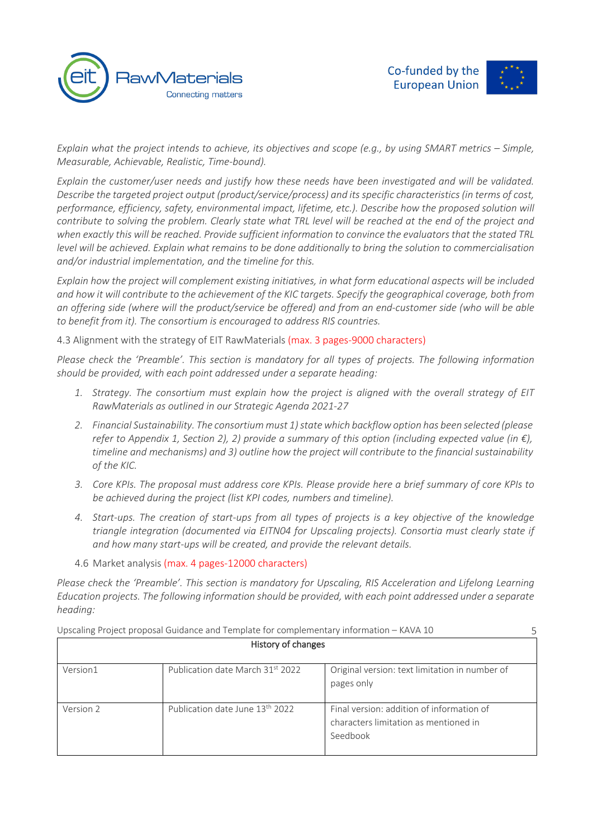



5

*Explain what the project intends to achieve, its objectives and scope (e.g., by using SMART metrics – Simple, Measurable, Achievable, Realistic, Time-bound).* 

*Explain the customer/user needs and justify how these needs have been investigated and will be validated. Describe the targeted project output (product/service/process) and its specific characteristics (in terms of cost, performance, efficiency, safety, environmental impact, lifetime, etc.). Describe how the proposed solution will contribute to solving the problem. Clearly state what TRL level will be reached at the end of the project and when exactly this will be reached. Provide sufficient information to convince the evaluators that the stated TRL level will be achieved. Explain what remains to be done additionally to bring the solution to commercialisation and/or industrial implementation, and the timeline for this.* 

*Explain how the project will complement existing initiatives, in what form educational aspects will be included and how it will contribute to the achievement of the KIC targets. Specify the geographical coverage, both from an offering side (where will the product/service be offered) and from an end-customer side (who will be able to benefit from it). The consortium is encouraged to address RIS countries.*

4.3 Alignment with the strategy of EIT RawMaterials (max. 3 pages-9000 characters)

*Please check the 'Preamble'. This section is mandatory for all types of projects. The following information should be provided, with each point addressed under a separate heading:*

- *1. Strategy. The consortium must explain how the project is aligned with the overall strategy of EIT RawMaterials as outlined in our Strategic Agenda 2021-27*
- *2. Financial Sustainability. The consortium must 1) state which backflow option has been selected (please refer to Appendix 1, Section 2), 2) provide a summary of this option (including expected value (in €), timeline and mechanisms) and 3) outline how the project will contribute to the financial sustainability of the KIC.*
- *3. Core KPIs. The proposal must address core KPIs. Please provide here a brief summary of core KPIs to be achieved during the project (list KPI codes, numbers and timeline).*
- *4. Start-ups. The creation of start-ups from all types of projects is a key objective of the knowledge triangle integration (documented via EITN04 for Upscaling projects). Consortia must clearly state if and how many start-ups will be created, and provide the relevant details.*
- 4.6 Market analysis (max. 4 pages-12000 characters)

*Please check the 'Preamble'. This section is mandatory for Upscaling, RIS Acceleration and Lifelong Learning Education projects. The following information should be provided, with each point addressed under a separate heading:*

| History of changes |                                  |                                                                                                |
|--------------------|----------------------------------|------------------------------------------------------------------------------------------------|
| Version1           | Publication date March 31st 2022 | Original version: text limitation in number of<br>pages only                                   |
| Version 2          | Publication date June 13th 2022  | Final version: addition of information of<br>characters limitation as mentioned in<br>Seedbook |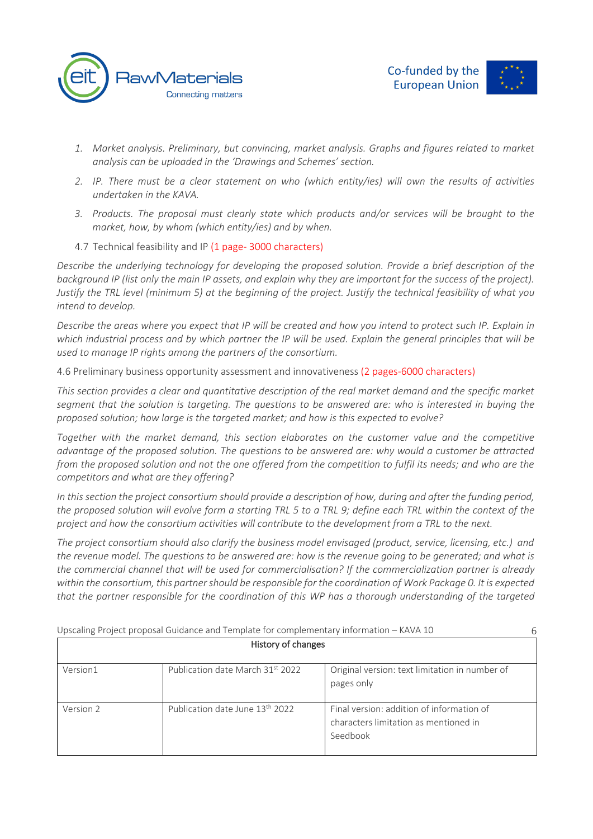



- *1. Market analysis. Preliminary, but convincing, market analysis. Graphs and figures related to market analysis can be uploaded in the 'Drawings and Schemes' section.*
- *2. IP. There must be a clear statement on who (which entity/ies) will own the results of activities undertaken in the KAVA.*
- *3. Products. The proposal must clearly state which products and/or services will be brought to the market, how, by whom (which entity/ies) and by when.*
- 4.7 Technical feasibility and IP (1 page- 3000 characters)

*Describe the underlying technology for developing the proposed solution. Provide a brief description of the*  background IP (list only the main IP assets, and explain why they are important for the success of the project). *Justify the TRL level (minimum 5) at the beginning of the project. Justify the technical feasibility of what you intend to develop.* 

*Describe the areas where you expect that IP will be created and how you intend to protect such IP. Explain in which industrial process and by which partner the IP will be used. Explain the general principles that will be used to manage IP rights among the partners of the consortium.*

4.6 Preliminary business opportunity assessment and innovativeness (2 pages-6000 characters)

*This section provides a clear and quantitative description of the real market demand and the specific market segment that the solution is targeting. The questions to be answered are: who is interested in buying the proposed solution; how large is the targeted market; and how is this expected to evolve?* 

*Together with the market demand, this section elaborates on the customer value and the competitive advantage of the proposed solution. The questions to be answered are: why would a customer be attracted from the proposed solution and not the one offered from the competition to fulfil its needs; and who are the competitors and what are they offering?* 

In this section the project consortium should provide a description of how, during and after the funding period, *the proposed solution will evolve form a starting TRL 5 to a TRL 9; define each TRL within the context of the project and how the consortium activities will contribute to the development from a TRL to the next.*

*The project consortium should also clarify the business model envisaged (product, service, licensing, etc.) and the revenue model. The questions to be answered are: how is the revenue going to be generated; and what is the commercial channel that will be used for commercialisation? If the commercialization partner is already within the consortium, this partner should be responsible for the coordination of Work Package 0. It is expected that the partner responsible for the coordination of this WP has a thorough understanding of the targeted* 

|           | Upscaling Project proposal Guidance and Template for complementary information - KAVA 10 |                                                                                                |  |
|-----------|------------------------------------------------------------------------------------------|------------------------------------------------------------------------------------------------|--|
|           | History of changes                                                                       |                                                                                                |  |
| Version1  | Publication date March 31st 2022                                                         | Original version: text limitation in number of<br>pages only                                   |  |
| Version 2 | Publication date June 13 <sup>th</sup> 2022                                              | Final version: addition of information of<br>characters limitation as mentioned in<br>Seedbook |  |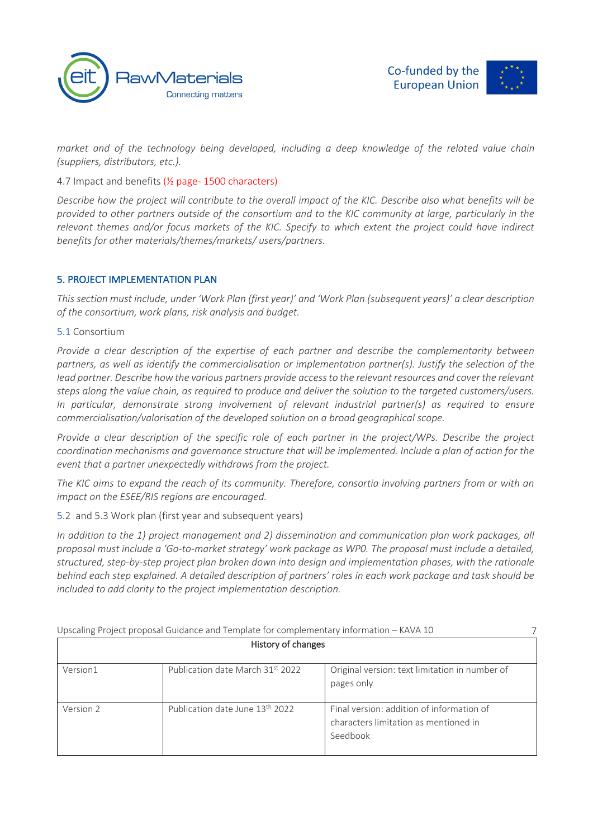



*market and of the technology being developed, including a deep knowledge of the related value chain (suppliers, distributors, etc.).*

4.7 Impact and benefits (½ page- 1500 characters)

*Describe how the project will contribute to the overall impact of the KIC. Describe also what benefits will be provided to other partners outside of the consortium and to the KIC community at large, particularly in the relevant themes and/or focus markets of the KIC. Specify to which extent the project could have indirect benefits for other materials/themes/markets/ users/partners.*

# 5. PROJECT IMPLEMENTATION PLAN

*This section must include, under 'Work Plan (first year)' and 'Work Plan (subsequent years)' a clear description of the consortium, work plans, risk analysis and budget.*

5.1 Consortium

*Provide a clear description of the expertise of each partner and describe the complementarity between*  partners, as well as identify the commercialisation or implementation partner(s). Justify the selection of the *lead partner. Describe how the various partners provide access to the relevant resources and cover the relevant steps along the value chain, as required to produce and deliver the solution to the targeted customers/users. In particular, demonstrate strong involvement of relevant industrial partner(s) as required to ensure commercialisation/valorisation of the developed solution on a broad geographical scope.* 

*Provide a clear description of the specific role of each partner in the project/WPs. Describe the project coordination mechanisms and governance structure that will be implemented. Include a plan of action for the event that a partner unexpectedly withdraws from the project.*

*The KIC aims to expand the reach of its community. Therefore, consortia involving partners from or with an impact on the ESEE/RIS regions are encouraged.*

5.2 and 5.3 Work plan (first year and subsequent years)

*In addition to the 1) project management and 2) dissemination and communication plan work packages, all proposal must include a 'Go-to-market strategy' work package as WP0. The proposal must include a detailed, structured, step-by-step project plan broken down into design and implementation phases, with the rationale behind each step* ex*plained. A detailed description of partners' roles in each work package and task should be included to add clarity to the project implementation description.*

|           | Upscaling Project proposal Guidance and Template for complementary information - KAVA 10 |                                                                                                |  |
|-----------|------------------------------------------------------------------------------------------|------------------------------------------------------------------------------------------------|--|
|           | History of changes                                                                       |                                                                                                |  |
| Version1  | Publication date March 31st 2022                                                         | Original version: text limitation in number of<br>pages only                                   |  |
| Version 2 | Publication date June 13 <sup>th</sup> 2022                                              | Final version: addition of information of<br>characters limitation as mentioned in<br>Seedbook |  |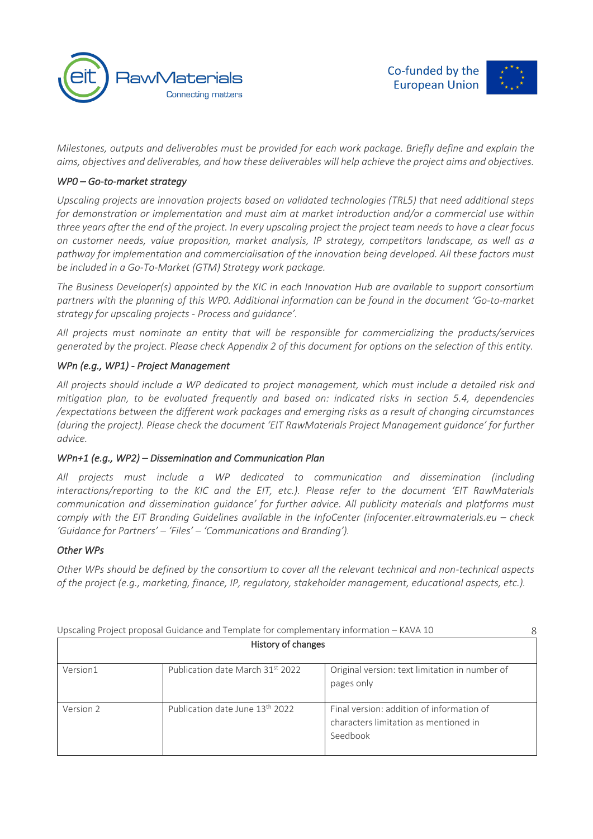



*Milestones, outputs and deliverables must be provided for each work package. Briefly define and explain the aims, objectives and deliverables, and how these deliverables will help achieve the project aims and objectives.*

# *WP0 – Go-to-market strategy*

*Upscaling projects are innovation projects based on validated technologies (TRL5) that need additional steps for demonstration or implementation and must aim at market introduction and/or a commercial use within three years after the end of the project. In every upscaling project the project team needs to have a clear focus on customer needs, value proposition, market analysis, IP strategy, competitors landscape, as well as a pathway for implementation and commercialisation of the innovation being developed. All these factors must be included in a Go-To-Market (GTM) Strategy work package.*

*The Business Developer(s) appointed by the KIC in each Innovation Hub are available to support consortium partners with the planning of this WP0. Additional information can be found in the document 'Go-to-market strategy for upscaling projects - Process and guidance'.*

*All projects must nominate an entity that will be responsible for commercializing the products/services generated by the project. Please check Appendix 2 of this document for options on the selection of this entity.* 

# *WPn (e.g., WP1) - Project Management*

*All projects should include a WP dedicated to project management, which must include a detailed risk and mitigation plan, to be evaluated frequently and based on: indicated risks in section 5.4, dependencies /expectations between the different work packages and emerging risks as a result of changing circumstances (during the project). Please check the document 'EIT RawMaterials Project Management guidance' for further advice.*

#### *WPn+1 (e.g., WP2) – Dissemination and Communication Plan*

*All projects must include a WP dedicated to communication and dissemination (including interactions/reporting to the KIC and the EIT, etc.). Please refer to the document 'EIT RawMaterials communication and dissemination guidance' for further advice. All publicity materials and platforms must comply with the EIT Branding Guidelines available in the InfoCenter (infocenter.eitrawmaterials.eu – check 'Guidance for Partners' – 'Files' – 'Communications and Branding').*

#### *Other WPs*

*Other WPs should be defined by the consortium to cover all the relevant technical and non-technical aspects of the project (e.g., marketing, finance, IP, regulatory, stakeholder management, educational aspects, etc.).*

|           | Upscaling Project proposal Guidance and Template for complementary information - KAVA 10 |                                                                                                |
|-----------|------------------------------------------------------------------------------------------|------------------------------------------------------------------------------------------------|
|           | History of changes                                                                       |                                                                                                |
| Version1  | Publication date March 31st 2022                                                         | Original version: text limitation in number of<br>pages only                                   |
| Version 2 | Publication date June 13 <sup>th</sup> 2022                                              | Final version: addition of information of<br>characters limitation as mentioned in<br>Seedbook |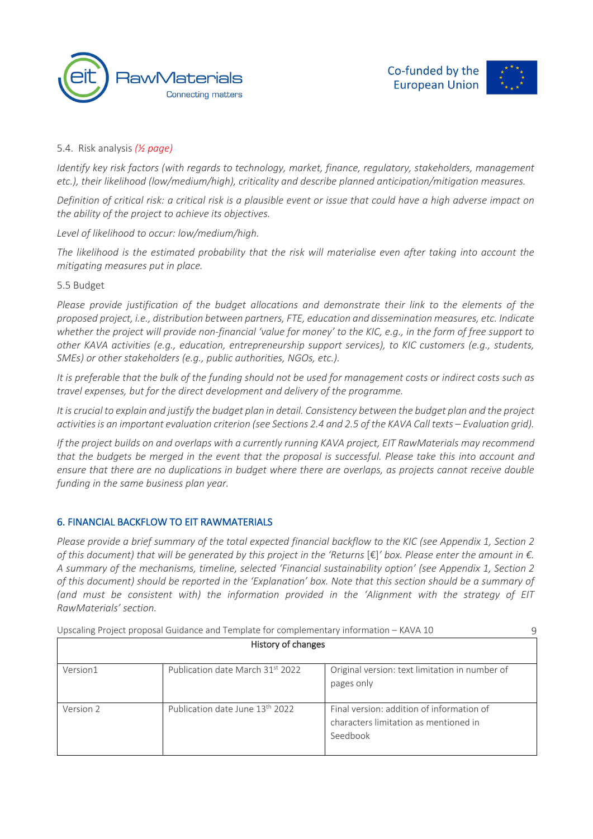



# 5.4. Risk analysis *(½ page)*

*Identify key risk factors (with regards to technology, market, finance, regulatory, stakeholders, management etc.), their likelihood (low/medium/high), criticality and describe planned anticipation/mitigation measures.*

*Definition of critical risk: a critical risk is a plausible event or issue that could have a high adverse impact on the ability of the project to achieve its objectives.*

*Level of likelihood to occur: low/medium/high.*

*The likelihood is the estimated probability that the risk will materialise even after taking into account the mitigating measures put in place.*

#### 5.5 Budget

*Please provide justification of the budget allocations and demonstrate their link to the elements of the proposed project, i.e., distribution between partners, FTE, education and dissemination measures, etc. Indicate whether the project will provide non-financial 'value for money' to the KIC, e.g., in the form of free support to other KAVA activities (e.g., education, entrepreneurship support services), to KIC customers (e.g., students, SMEs) or other stakeholders (e.g., public authorities, NGOs, etc.).*

*It is preferable that the bulk of the funding should not be used for management costs or indirect costs such as travel expenses, but for the direct development and delivery of the programme.*

*It is crucial to explain and justify the budget plan in detail. Consistency between the budget plan and the project activities is an important evaluation criterion (see Sections 2.4 and 2.5 of the KAVA Call texts – Evaluation grid).*

*If the project builds on and overlaps with a currently running KAVA project, EIT RawMaterials may recommend that the budgets be merged in the event that the proposal is successful. Please take this into account and ensure that there are no duplications in budget where there are overlaps, as projects cannot receive double funding in the same business plan year.*

#### 6. FINANCIAL BACKFLOW TO EIT RAWMATERIALS

*Please provide a brief summary of the total expected financial backflow to the KIC (see Appendix 1, Section 2 of this document) that will be generated by this project in the 'Returns* [€]*' box. Please enter the amount in €. A summary of the mechanisms, timeline, selected 'Financial sustainability option' (see Appendix 1, Section 2 of this document) should be reported in the 'Explanation' box. Note that this section should be a summary of (and must be consistent with) the information provided in the 'Alignment with the strategy of EIT RawMaterials' section.*

Upscaling Project proposal Guidance and Template for complementary information – KAVA 10 History of changes Version1 Publication date March 31<sup>st</sup> 2022 | Original version: text limitation in number of pages only Version 2 Publication date June 13<sup>th</sup> 2022 Final version: addition of information of characters limitation as mentioned in Seedbook  $\Omega$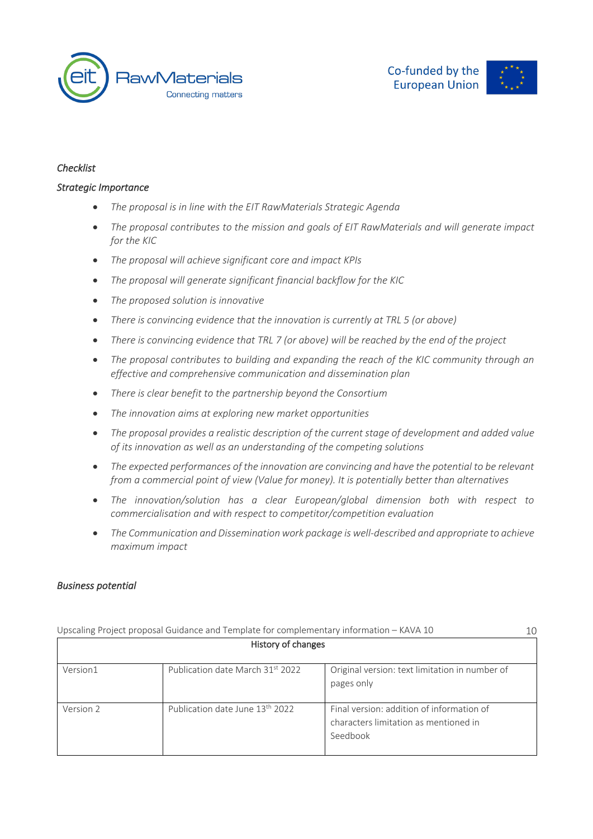



# *Checklist*

#### *Strategic Importance*

- *The proposal is in line with the EIT RawMaterials Strategic Agenda*
- *The proposal contributes to the mission and goals of EIT RawMaterials and will generate impact for the KIC*
- *The proposal will achieve significant core and impact KPIs*
- *The proposal will generate significant financial backflow for the KIC*
- *The proposed solution is innovative*
- *There is convincing evidence that the innovation is currently at TRL 5 (or above)*
- *There is convincing evidence that TRL 7 (or above) will be reached by the end of the project*
- *The proposal contributes to building and expanding the reach of the KIC community through an effective and comprehensive communication and dissemination plan*
- *There is clear benefit to the partnership beyond the Consortium*
- *The innovation aims at exploring new market opportunities*
- *The proposal provides a realistic description of the current stage of development and added value of its innovation as well as an understanding of the competing solutions*
- *The expected performances of the innovation are convincing and have the potential to be relevant from a commercial point of view (Value for money). It is potentially better than alternatives*
- *The innovation/solution has a clear European/global dimension both with respect to commercialisation and with respect to competitor/competition evaluation*
- *The Communication and Dissemination work package is well-described and appropriate to achieve maximum impact*

#### *Business potential*

|           | Upscaling Project proposal Guidance and Template for complementary information - KAVA 10 |                                                                                                | 10 |
|-----------|------------------------------------------------------------------------------------------|------------------------------------------------------------------------------------------------|----|
|           | History of changes                                                                       |                                                                                                |    |
| Version1  | Publication date March 31st 2022                                                         | Original version: text limitation in number of<br>pages only                                   |    |
| Version 2 | Publication date June 13 <sup>th</sup> 2022                                              | Final version: addition of information of<br>characters limitation as mentioned in<br>Seedbook |    |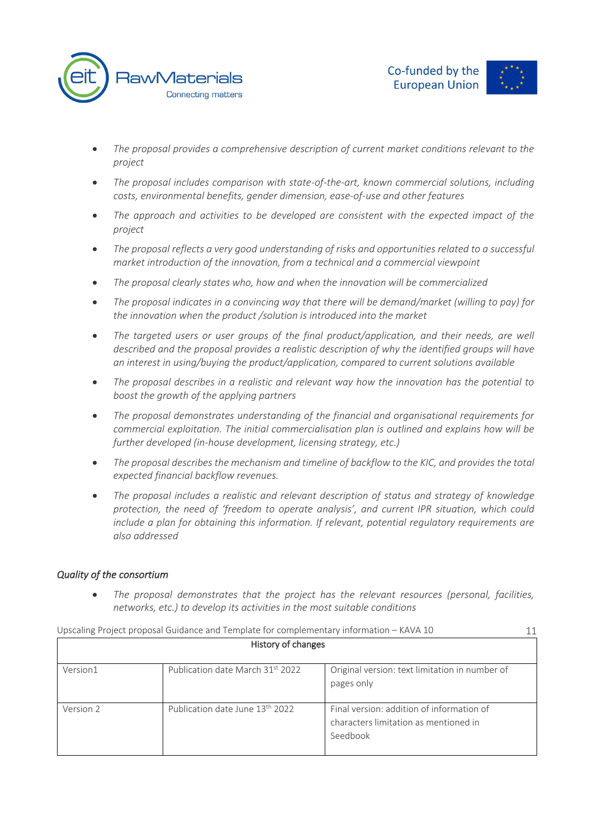



- *The proposal provides a comprehensive description of current market conditions relevant to the project*
- *The proposal includes comparison with state-of-the-art, known commercial solutions, including costs, environmental benefits, gender dimension, ease-of-use and other features*
- *The approach and activities to be developed are consistent with the expected impact of the project*
- *The proposal reflects a very good understanding of risks and opportunities related to a successful market introduction of the innovation, from a technical and a commercial viewpoint*
- *The proposal clearly states who, how and when the innovation will be commercialized*
- *The proposal indicates in a convincing way that there will be demand/market (willing to pay) for the innovation when the product /solution is introduced into the market*
- *The targeted users or user groups of the final product/application, and their needs, are well described and the proposal provides a realistic description of why the identified groups will have an interest in using/buying the product/application, compared to current solutions available*
- *The proposal describes in a realistic and relevant way how the innovation has the potential to boost the growth of the applying partners*
- *The proposal demonstrates understanding of the financial and organisational requirements for commercial exploitation. The initial commercialisation plan is outlined and explains how will be further developed (in-house development, licensing strategy, etc.)*
- *The proposal describes the mechanism and timeline of backflow to the KIC, and provides the total expected financial backflow revenues.*
- *The proposal includes a realistic and relevant description of status and strategy of knowledge protection, the need of 'freedom to operate analysis', and current IPR situation, which could include a plan for obtaining this information. If relevant, potential regulatory requirements are also addressed*

#### *Quality of the consortium*

• *The proposal demonstrates that the project has the relevant resources (personal, facilities, networks, etc.) to develop its activities in the most suitable conditions*

|           | Upscaling Project proposal Guidance and Template for complementary information - KAVA 10 |                                                                                                | 11 |
|-----------|------------------------------------------------------------------------------------------|------------------------------------------------------------------------------------------------|----|
|           | History of changes                                                                       |                                                                                                |    |
| Version1  | Publication date March 31st 2022                                                         | Original version: text limitation in number of<br>pages only                                   |    |
| Version 2 | Publication date June 13 <sup>th</sup> 2022                                              | Final version: addition of information of<br>characters limitation as mentioned in<br>Seedbook |    |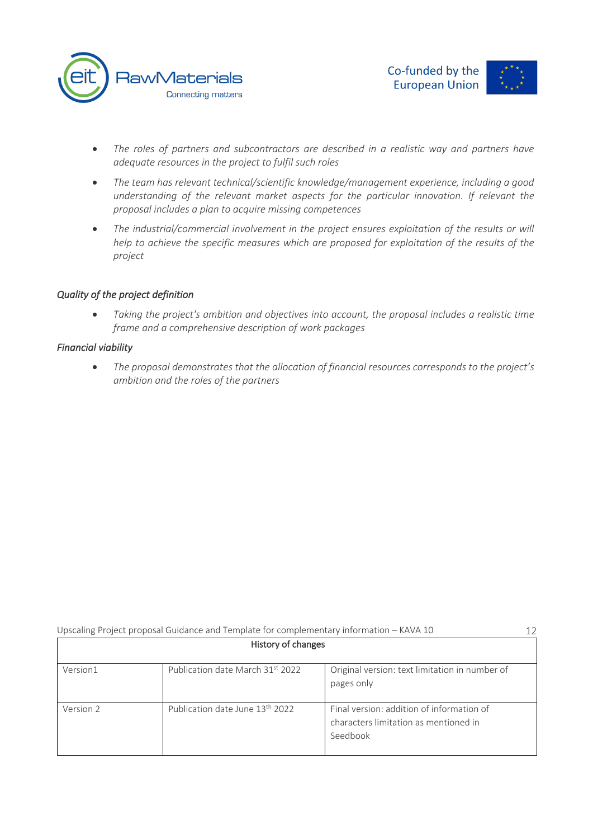



- *The roles of partners and subcontractors are described in a realistic way and partners have adequate resources in the project to fulfil such roles*
- *The team has relevant technical/scientific knowledge/management experience, including a good understanding of the relevant market aspects for the particular innovation. If relevant the proposal includes a plan to acquire missing competences*
- *The industrial/commercial involvement in the project ensures exploitation of the results or will help to achieve the specific measures which are proposed for exploitation of the results of the project*

# *Quality of the project definition*

• *Taking the project's ambition and objectives into account, the proposal includes a realistic time frame and a comprehensive description of work packages*

#### *Financial viability*

• *The proposal demonstrates that the allocation of financial resources corresponds to the project's ambition and the roles of the partners*

|           | Upscaling Project proposal Guidance and Template for complementary information - KAVA 10 |                                                                                                | 12 |
|-----------|------------------------------------------------------------------------------------------|------------------------------------------------------------------------------------------------|----|
|           | History of changes                                                                       |                                                                                                |    |
| Version1  | Publication date March 31st 2022                                                         | Original version: text limitation in number of<br>pages only                                   |    |
| Version 2 | Publication date June 13 <sup>th</sup> 2022                                              | Final version: addition of information of<br>characters limitation as mentioned in<br>Seedbook |    |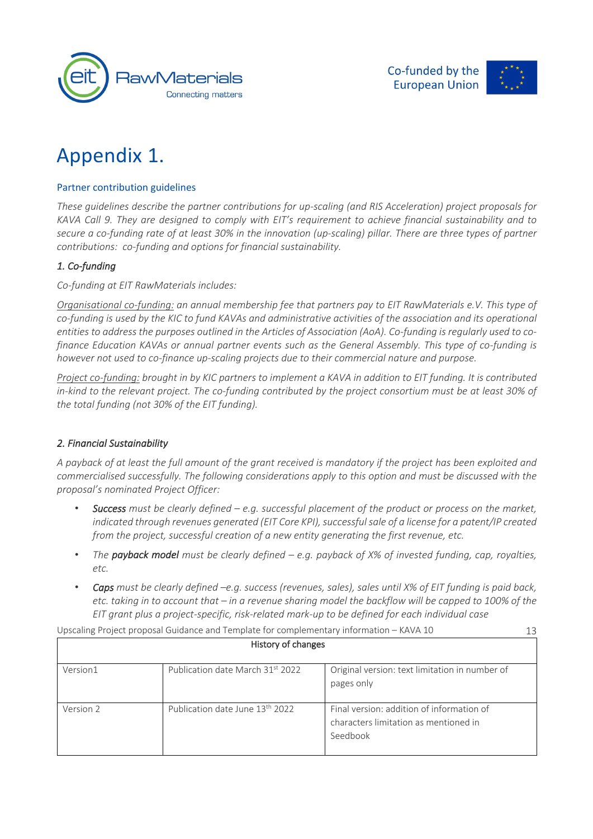



# Appendix 1.

# Partner contribution guidelines

*These guidelines describe the partner contributions for up-scaling (and RIS Acceleration) project proposals for KAVA Call 9. They are designed to comply with EIT's requirement to achieve financial sustainability and to secure a co-funding rate of at least 30% in the innovation (up-scaling) pillar. There are three types of partner contributions: co-funding and options for financial sustainability.*

# *1. Co-funding*

*Co-funding at EIT RawMaterials includes:*

*Organisational co-funding: an annual membership fee that partners pay to EIT RawMaterials e.V. This type of*  co-funding is used by the KIC to fund KAVAs and administrative activities of the association and its operational *entities to address the purposes outlined in the Articles of Association (AoA). Co-funding is regularly used to cofinance Education KAVAs or annual partner events such as the General Assembly. This type of co-funding is however not used to co-finance up-scaling projects due to their commercial nature and purpose.*

*Project co-funding: brought in by KIC partners to implement a KAVA in addition to EIT funding. It is contributed in-kind to the relevant project. The co-funding contributed by the project consortium must be at least 30% of the total funding (not 30% of the EIT funding).*

# *2. Financial Sustainability*

*A payback of at least the full amount of the grant received is mandatory if the project has been exploited and commercialised successfully. The following considerations apply to this option and must be discussed with the proposal's nominated Project Officer:*

- *Success must be clearly defined – e.g. successful placement of the product or process on the market, indicated through revenues generated (EIT Core KPI), successful sale of a license for a patent/IP created from the project, successful creation of a new entity generating the first revenue, etc.*
- *The payback model must be clearly defined – e.g. payback of X% of invested funding, cap, royalties, etc.*
- *Caps must be clearly defined –e.g. success (revenues, sales), sales until X% of EIT funding is paid back, etc. taking in to account that – in a revenue sharing model the backflow will be capped to 100% of the EIT grant plus a project-specific, risk-related mark-up to be defined for each individual case*

|           | Upscaling Project proposal Guidance and Template for complementary information - KAVA 10<br>History of changes |                                                                                                | 13 |
|-----------|----------------------------------------------------------------------------------------------------------------|------------------------------------------------------------------------------------------------|----|
|           |                                                                                                                |                                                                                                |    |
| Version1  | Publication date March 31st 2022                                                                               | Original version: text limitation in number of<br>pages only                                   |    |
| Version 2 | Publication date June 13 <sup>th</sup> 2022                                                                    | Final version: addition of information of<br>characters limitation as mentioned in<br>Seedbook |    |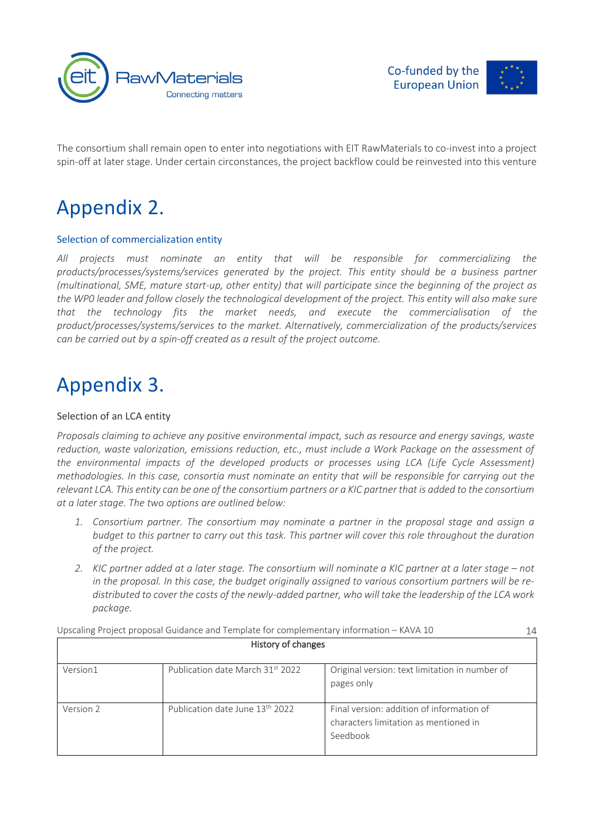



The consortium shall remain open to enter into negotiations with EIT RawMaterials to co-invest into a project spin-off at later stage. Under certain circonstances, the project backflow could be reinvested into this venture

# Appendix 2.

# Selection of commercialization entity

*All projects must nominate an entity that will be responsible for commercializing the products/processes/systems/services generated by the project. This entity should be a business partner (multinational, SME, mature start-up, other entity) that will participate since the beginning of the project as the WP0 leader and follow closely the technological development of the project. This entity will also make sure that the technology fits the market needs, and execute the commercialisation of the product/processes/systems/services to the market. Alternatively, commercialization of the products/services can be carried out by a spin-off created as a result of the project outcome.*

# Appendix 3.

# Selection of an LCA entity

*Proposals claiming to achieve any positive environmental impact, such as resource and energy savings, waste reduction, waste valorization, emissions reduction, etc., must include a Work Package on the assessment of*  the environmental impacts of the developed products or processes using LCA (Life Cycle Assessment) *methodologies. In this case, consortia must nominate an entity that will be responsible for carrying out the relevant LCA. This entity can be one of the consortium partners or a KIC partner that is added to the consortium at a later stage. The two options are outlined below:*

- *1. Consortium partner. The consortium may nominate a partner in the proposal stage and assign a budget to this partner to carry out this task. This partner will cover this role throughout the duration of the project.*
- *2. KIC partner added at a later stage. The consortium will nominate a KIC partner at a later stage – not in the proposal. In this case, the budget originally assigned to various consortium partners will be redistributed to cover the costs of the newly-added partner, who will take the leadership of the LCA work package.*

| Upscaling Project proposal Guidance and Template for complementary information - KAVA 10 |                                             |                                                                                                | 14 |
|------------------------------------------------------------------------------------------|---------------------------------------------|------------------------------------------------------------------------------------------------|----|
|                                                                                          | History of changes                          |                                                                                                |    |
| Version1                                                                                 | Publication date March 31st 2022            | Original version: text limitation in number of<br>pages only                                   |    |
| Version 2                                                                                | Publication date June 13 <sup>th</sup> 2022 | Final version: addition of information of<br>characters limitation as mentioned in<br>Seedbook |    |